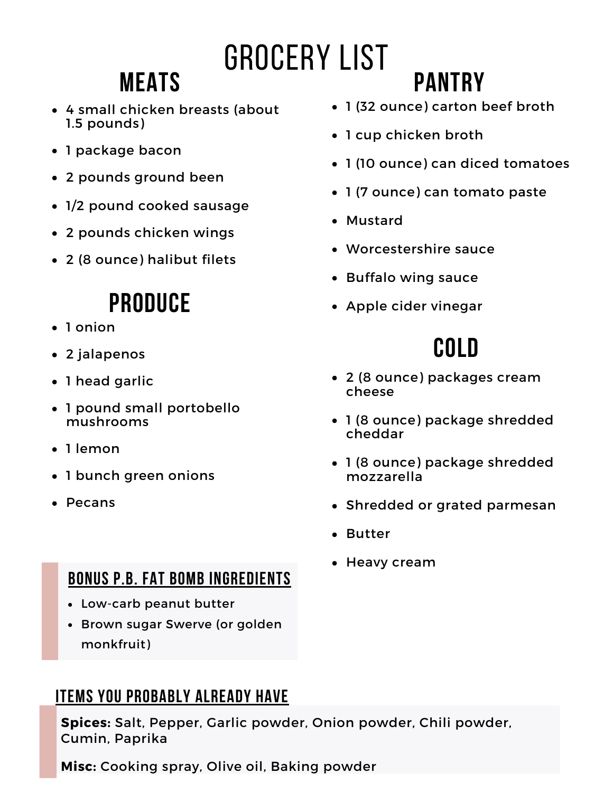# Grocery List

## **Meats**

- 4 small chicken breasts (about 1.5 pounds)
- 1 package bacon
- 2 pounds ground been
- 1/2 pound cooked sausage
- 2 pounds chicken wings
- 2 (8 ounce) halibut filets

### **Produce**

- 1 onion
- 2 jalapenos
- 1 head garlic
- 1 pound small portobello mushrooms
- 1 lemon
- 1 bunch green onions
- Pecans

#### **Bonus p.b. fat bomb ingredients**

- Low-carb peanut butter
- Brown sugar Swerve (or golden monkfruit)

#### **Items you probably already have**

**Spices:** Salt, Pepper, Garlic powder, Onion powder, Chili powder, Cumin, Paprika

**Misc:** Cooking spray, Olive oil, Baking powder

1 (32 ounce) carton beef broth

**Pantry**

- 1 cup chicken broth
- 1 (10 ounce) can diced tomatoes
- 1 (7 ounce) can tomato paste
- Mustard
- Worcestershire sauce
- Buffalo wing sauce
- Apple cider vinegar

### **Cold**

- 2 (8 ounce) packages cream cheese
- 1 (8 ounce) package shredded cheddar
- 1 (8 ounce) package shredded mozzarella
- Shredded or grated parmesan
- Butter
- Heavy cream